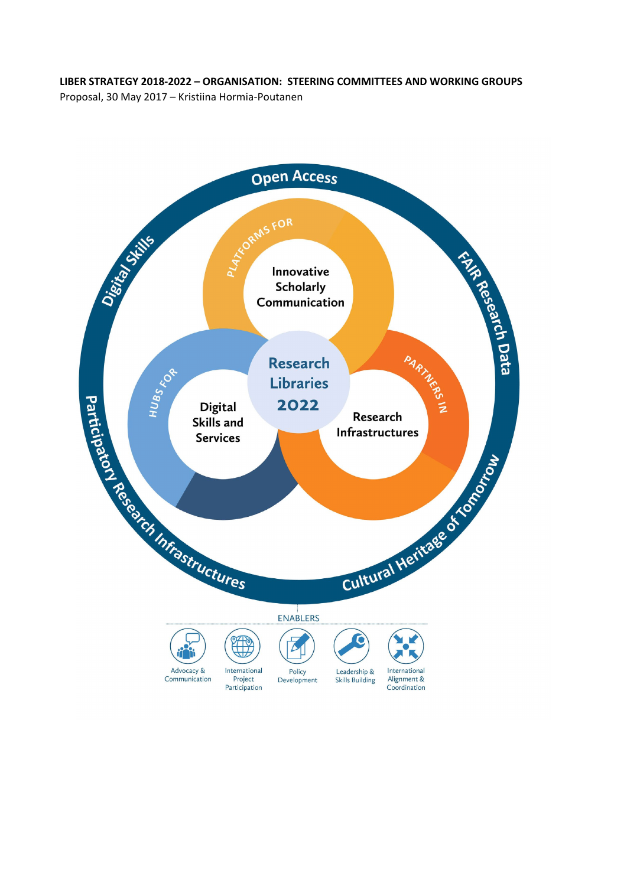#### **LIBER STRATEGY 2018-2022 – ORGANISATION: STEERING COMMITTEES AND WORKING GROUPS**

Proposal, 30 May 2017 – Kristiina Hormia-Poutanen

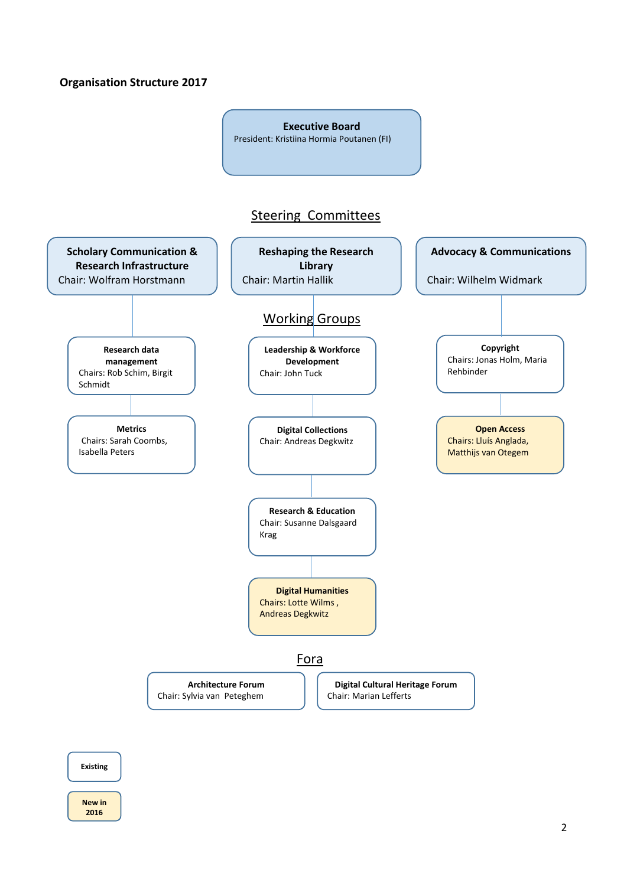### **Organisation Structure 2017**



#### **Existing**

#### **New in 2016**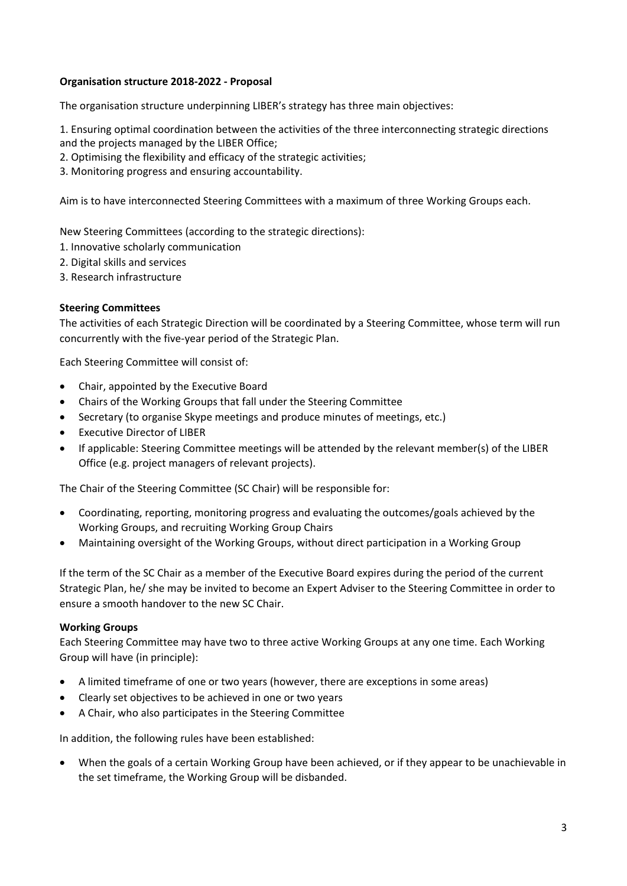## **Organisation structure 2018-2022 - Proposal**

The organisation structure underpinning LIBER's strategy has three main objectives:

- 1. Ensuring optimal coordination between the activities of the three interconnecting strategic directions and the projects managed by the LIBER Office;
- 2. Optimising the flexibility and efficacy of the strategic activities;
- 3. Monitoring progress and ensuring accountability.

Aim is to have interconnected Steering Committees with a maximum of three Working Groups each.

New Steering Committees (according to the strategic directions):

- 1. Innovative scholarly communication
- 2. Digital skills and services
- 3. Research infrastructure

## **Steering Committees**

The activities of each Strategic Direction will be coordinated by a Steering Committee, whose term will run concurrently with the five-year period of the Strategic Plan.

Each Steering Committee will consist of:

- Chair, appointed by the Executive Board
- Chairs of the Working Groups that fall under the Steering Committee
- Secretary (to organise Skype meetings and produce minutes of meetings, etc.)
- Executive Director of LIBER
- If applicable: Steering Committee meetings will be attended by the relevant member(s) of the LIBER Office (e.g. project managers of relevant projects).

The Chair of the Steering Committee (SC Chair) will be responsible for:

- Coordinating, reporting, monitoring progress and evaluating the outcomes/goals achieved by the Working Groups, and recruiting Working Group Chairs
- Maintaining oversight of the Working Groups, without direct participation in a Working Group

If the term of the SC Chair as a member of the Executive Board expires during the period of the current Strategic Plan, he/ she may be invited to become an Expert Adviser to the Steering Committee in order to ensure a smooth handover to the new SC Chair.

#### **Working Groups**

Each Steering Committee may have two to three active Working Groups at any one time. Each Working Group will have (in principle):

- A limited timeframe of one or two years (however, there are exceptions in some areas)
- Clearly set objectives to be achieved in one or two years
- A Chair, who also participates in the Steering Committee

In addition, the following rules have been established:

• When the goals of a certain Working Group have been achieved, or if they appear to be unachievable in the set timeframe, the Working Group will be disbanded.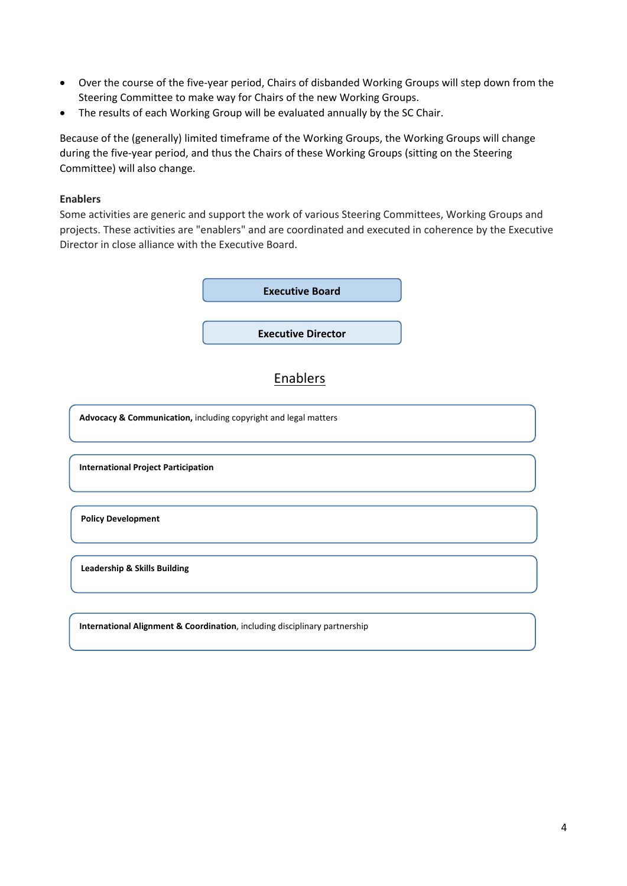- Over the course of the five-year period, Chairs of disbanded Working Groups will step down from the Steering Committee to make way for Chairs of the new Working Groups.
- The results of each Working Group will be evaluated annually by the SC Chair.

Because of the (generally) limited timeframe of the Working Groups, the Working Groups will change during the five-year period, and thus the Chairs of these Working Groups (sitting on the Steering Committee) will also change.

#### **Enablers**

Some activities are generic and support the work of various Steering Committees, Working Groups and projects. These activities are "enablers" and are coordinated and executed in coherence by the Executive Director in close alliance with the Executive Board.



**International Project Participation**

**Policy Development**

**Leadership & Skills Building** 

**International Alignment & Coordination**, including disciplinary partnership